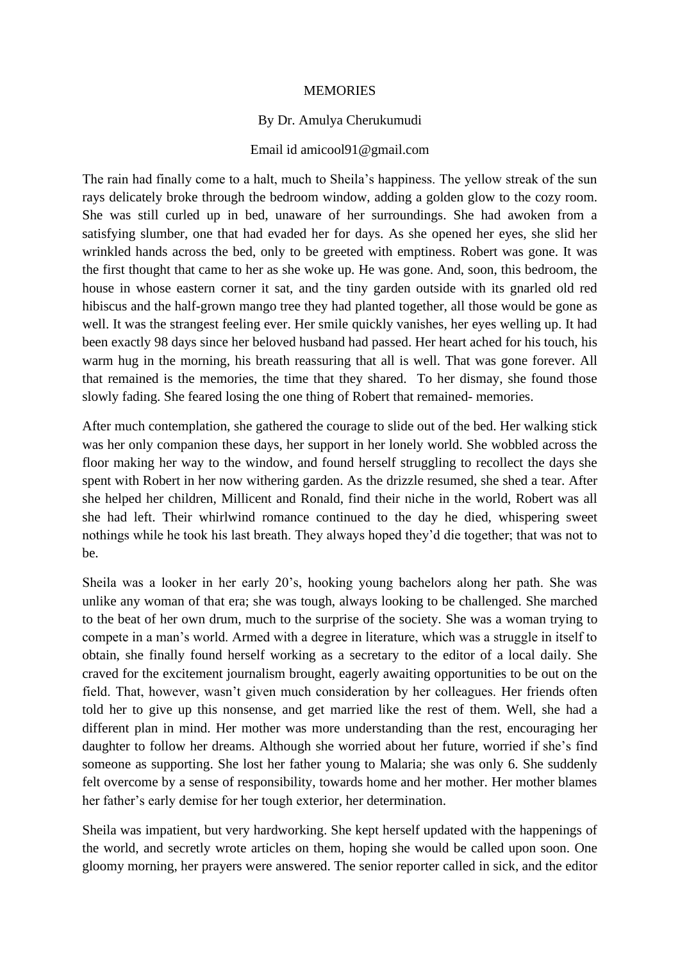## MEMORIES

## By Dr. Amulya Cherukumudi

## Email id amicool91@gmail.com

The rain had finally come to a halt, much to Sheila's happiness. The yellow streak of the sun rays delicately broke through the bedroom window, adding a golden glow to the cozy room. She was still curled up in bed, unaware of her surroundings. She had awoken from a satisfying slumber, one that had evaded her for days. As she opened her eyes, she slid her wrinkled hands across the bed, only to be greeted with emptiness. Robert was gone. It was the first thought that came to her as she woke up. He was gone. And, soon, this bedroom, the house in whose eastern corner it sat, and the tiny garden outside with its gnarled old red hibiscus and the half-grown mango tree they had planted together, all those would be gone as well. It was the strangest feeling ever. Her smile quickly vanishes, her eyes welling up. It had been exactly 98 days since her beloved husband had passed. Her heart ached for his touch, his warm hug in the morning, his breath reassuring that all is well. That was gone forever. All that remained is the memories, the time that they shared. To her dismay, she found those slowly fading. She feared losing the one thing of Robert that remained- memories.

After much contemplation, she gathered the courage to slide out of the bed. Her walking stick was her only companion these days, her support in her lonely world. She wobbled across the floor making her way to the window, and found herself struggling to recollect the days she spent with Robert in her now withering garden. As the drizzle resumed, she shed a tear. After she helped her children, Millicent and Ronald, find their niche in the world, Robert was all she had left. Their whirlwind romance continued to the day he died, whispering sweet nothings while he took his last breath. They always hoped they'd die together; that was not to be.

Sheila was a looker in her early 20's, hooking young bachelors along her path. She was unlike any woman of that era; she was tough, always looking to be challenged. She marched to the beat of her own drum, much to the surprise of the society. She was a woman trying to compete in a man's world. Armed with a degree in literature, which was a struggle in itself to obtain, she finally found herself working as a secretary to the editor of a local daily. She craved for the excitement journalism brought, eagerly awaiting opportunities to be out on the field. That, however, wasn't given much consideration by her colleagues. Her friends often told her to give up this nonsense, and get married like the rest of them. Well, she had a different plan in mind. Her mother was more understanding than the rest, encouraging her daughter to follow her dreams. Although she worried about her future, worried if she's find someone as supporting. She lost her father young to Malaria; she was only 6. She suddenly felt overcome by a sense of responsibility, towards home and her mother. Her mother blames her father's early demise for her tough exterior, her determination.

Sheila was impatient, but very hardworking. She kept herself updated with the happenings of the world, and secretly wrote articles on them, hoping she would be called upon soon. One gloomy morning, her prayers were answered. The senior reporter called in sick, and the editor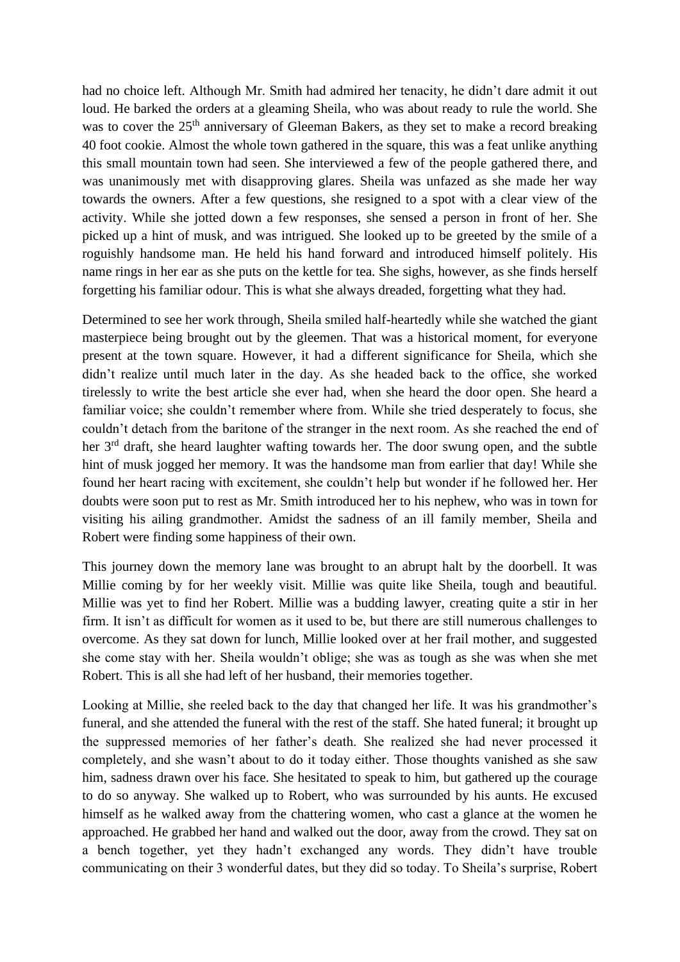had no choice left. Although Mr. Smith had admired her tenacity, he didn't dare admit it out loud. He barked the orders at a gleaming Sheila, who was about ready to rule the world. She was to cover the 25<sup>th</sup> anniversary of Gleeman Bakers, as they set to make a record breaking 40 foot cookie. Almost the whole town gathered in the square, this was a feat unlike anything this small mountain town had seen. She interviewed a few of the people gathered there, and was unanimously met with disapproving glares. Sheila was unfazed as she made her way towards the owners. After a few questions, she resigned to a spot with a clear view of the activity. While she jotted down a few responses, she sensed a person in front of her. She picked up a hint of musk, and was intrigued. She looked up to be greeted by the smile of a roguishly handsome man. He held his hand forward and introduced himself politely. His name rings in her ear as she puts on the kettle for tea. She sighs, however, as she finds herself forgetting his familiar odour. This is what she always dreaded, forgetting what they had.

Determined to see her work through, Sheila smiled half-heartedly while she watched the giant masterpiece being brought out by the gleemen. That was a historical moment, for everyone present at the town square. However, it had a different significance for Sheila, which she didn't realize until much later in the day. As she headed back to the office, she worked tirelessly to write the best article she ever had, when she heard the door open. She heard a familiar voice; she couldn't remember where from. While she tried desperately to focus, she couldn't detach from the baritone of the stranger in the next room. As she reached the end of her 3rd draft, she heard laughter wafting towards her. The door swung open, and the subtle hint of musk jogged her memory. It was the handsome man from earlier that day! While she found her heart racing with excitement, she couldn't help but wonder if he followed her. Her doubts were soon put to rest as Mr. Smith introduced her to his nephew, who was in town for visiting his ailing grandmother. Amidst the sadness of an ill family member, Sheila and Robert were finding some happiness of their own.

This journey down the memory lane was brought to an abrupt halt by the doorbell. It was Millie coming by for her weekly visit. Millie was quite like Sheila, tough and beautiful. Millie was yet to find her Robert. Millie was a budding lawyer, creating quite a stir in her firm. It isn't as difficult for women as it used to be, but there are still numerous challenges to overcome. As they sat down for lunch, Millie looked over at her frail mother, and suggested she come stay with her. Sheila wouldn't oblige; she was as tough as she was when she met Robert. This is all she had left of her husband, their memories together.

Looking at Millie, she reeled back to the day that changed her life. It was his grandmother's funeral, and she attended the funeral with the rest of the staff. She hated funeral; it brought up the suppressed memories of her father's death. She realized she had never processed it completely, and she wasn't about to do it today either. Those thoughts vanished as she saw him, sadness drawn over his face. She hesitated to speak to him, but gathered up the courage to do so anyway. She walked up to Robert, who was surrounded by his aunts. He excused himself as he walked away from the chattering women, who cast a glance at the women he approached. He grabbed her hand and walked out the door, away from the crowd. They sat on a bench together, yet they hadn't exchanged any words. They didn't have trouble communicating on their 3 wonderful dates, but they did so today. To Sheila's surprise, Robert